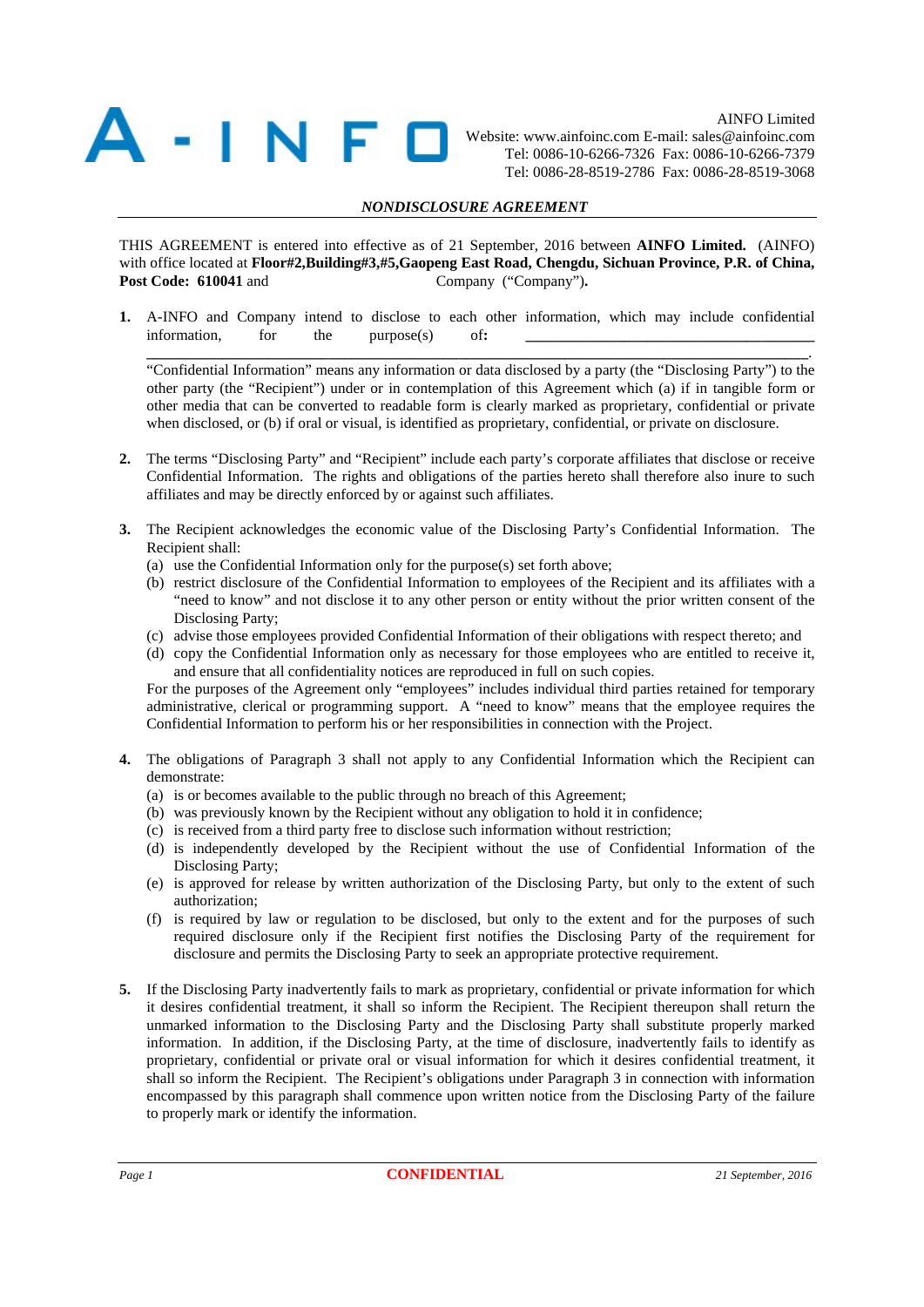

 AINFO Limited Website: www.ainfoinc.com E-mail: sales@ainfoinc.com Tel: 0086-10-6266-7326 Fax: 0086-10-6266-7379 Tel: 0086-28-8519-2786 Fax: 0086-28-8519-3068

## *NONDISCLOSURE AGREEMENT*

THIS AGREEMENT is entered into effective as of 21 September, 2016 between **AINFO Limited.** (AINFO) with office located at **Floor#2,Building#3,#5,Gaopeng East Road, Chengdu, Sichuan Province, P.R. of China, Post Code: 610041 and Company ("Company").** 

**1.** A-INFO and Company intend to disclose to each other information, which may include confidential  $information,$  for the purpose(s) of  $\frac{1}{2}$   $\frac{1}{2}$   $\frac{1}{2}$   $\frac{1}{2}$   $\frac{1}{2}$   $\frac{1}{2}$   $\frac{1}{2}$   $\frac{1}{2}$   $\frac{1}{2}$   $\frac{1}{2}$   $\frac{1}{2}$   $\frac{1}{2}$   $\frac{1}{2}$   $\frac{1}{2}$   $\frac{1}{2}$   $\frac{1}{2}$   $\frac{1}{2}$   $\frac{1}{2}$   $\frac{1}{2}$   $\frac{$ 

"Confidential Information" means any information or data disclosed by a party (the "Disclosing Party") to the other party (the "Recipient") under or in contemplation of this Agreement which (a) if in tangible form or other media that can be converted to readable form is clearly marked as proprietary, confidential or private when disclosed, or (b) if oral or visual, is identified as proprietary, confidential, or private on disclosure.

**\_\_\_\_\_\_\_\_\_\_\_\_\_\_\_\_\_\_\_\_\_\_\_\_\_\_\_\_\_\_\_\_\_\_\_\_\_\_\_\_\_\_\_\_\_\_\_\_\_\_\_\_\_\_\_\_\_\_\_\_\_\_\_\_\_\_\_\_\_\_\_\_\_\_\_\_\_\_\_\_\_\_\_\_\_\_\_**.

- **2.** The terms "Disclosing Party" and "Recipient" include each party's corporate affiliates that disclose or receive Confidential Information. The rights and obligations of the parties hereto shall therefore also inure to such affiliates and may be directly enforced by or against such affiliates.
- **3.** The Recipient acknowledges the economic value of the Disclosing Party's Confidential Information. The Recipient shall:
	- (a) use the Confidential Information only for the purpose(s) set forth above;
	- (b) restrict disclosure of the Confidential Information to employees of the Recipient and its affiliates with a "need to know" and not disclose it to any other person or entity without the prior written consent of the Disclosing Party;
	- (c) advise those employees provided Confidential Information of their obligations with respect thereto; and
	- (d) copy the Confidential Information only as necessary for those employees who are entitled to receive it, and ensure that all confidentiality notices are reproduced in full on such copies.

For the purposes of the Agreement only "employees" includes individual third parties retained for temporary administrative, clerical or programming support. A "need to know" means that the employee requires the Confidential Information to perform his or her responsibilities in connection with the Project.

- **4.** The obligations of Paragraph 3 shall not apply to any Confidential Information which the Recipient can demonstrate:
	- (a) is or becomes available to the public through no breach of this Agreement;
	- (b) was previously known by the Recipient without any obligation to hold it in confidence;
	- (c) is received from a third party free to disclose such information without restriction;
	- (d) is independently developed by the Recipient without the use of Confidential Information of the Disclosing Party;
	- (e) is approved for release by written authorization of the Disclosing Party, but only to the extent of such authorization;
	- (f) is required by law or regulation to be disclosed, but only to the extent and for the purposes of such required disclosure only if the Recipient first notifies the Disclosing Party of the requirement for disclosure and permits the Disclosing Party to seek an appropriate protective requirement.
- **5.** If the Disclosing Party inadvertently fails to mark as proprietary, confidential or private information for which it desires confidential treatment, it shall so inform the Recipient. The Recipient thereupon shall return the unmarked information to the Disclosing Party and the Disclosing Party shall substitute properly marked information. In addition, if the Disclosing Party, at the time of disclosure, inadvertently fails to identify as proprietary, confidential or private oral or visual information for which it desires confidential treatment, it shall so inform the Recipient. The Recipient's obligations under Paragraph 3 in connection with information encompassed by this paragraph shall commence upon written notice from the Disclosing Party of the failure to properly mark or identify the information.